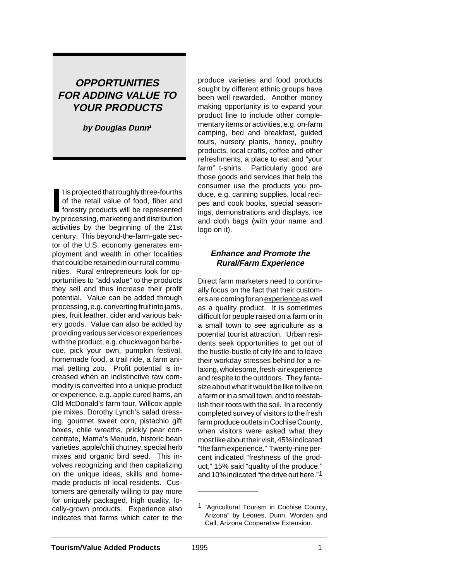# **OPPORTUNITIES FOR ADDING VALUE TO YOUR PRODUCTS**

**by Douglas Dunn<sup>1</sup>**

It is projected that roughly three-fourths<br>
of the retail value of food, fiber and<br>
forestry products will be represented<br>
by processing, marketing and distribution t is projected that roughly three-fourths of the retail value of food, fiber and forestry products will be represented activities by the beginning of the 21st century. This beyond-the-farm-gate sector of the U.S. economy generates employment and wealth in other localities that could be retained in our rural communities. Rural entrepreneurs look for opportunities to "add value" to the products they sell and thus increase their profit potential. Value can be added through processing, e.g. converting fruit into jams, pies, fruit leather, cider and various bakery goods. Value can also be added by providing various services or experiences with the product, e.g. chuckwagon barbecue, pick your own, pumpkin festival, homemade food, a trail ride, a farm animal petting zoo. Profit potential is increased when an indistinctive raw commodity is converted into a unique product or experience, e.g. apple cured hams, an Old McDonald's farm tour, Willcox apple pie mixes, Dorothy Lynch's salad dressing, gourmet sweet corn, pistachio gift boxes, chile wreaths, prickly pear concentrate, Mama's Menudo, historic bean varieties, apple/chili chutney, special herb mixes and organic bird seed. This involves recognizing and then capitalizing on the unique ideas, skills and homemade products of local residents. Customers are generally willing to pay more for uniquely packaged, high quality, locally-grown products. Experience also indicates that farms which cater to the

produce varieties and food products sought by different ethnic groups have been well rewarded. Another money making opportunity is to expand your product line to include other complementary items or activities, e.g. on-farm camping, bed and breakfast, guided tours, nursery plants, honey, poultry products, local crafts, coffee and other refreshments, a place to eat and "your farm" t-shirts. Particularly good are those goods and services that help the consumer use the products you produce, e.g. canning supplies, local recipes and cook books, special seasonings, demonstrations and displays, ice and cloth bags (with your name and logo on it).

### **Enhance and Promote the Rural/Farm Experience**

Direct farm marketers need to continually focus on the fact that their customers are coming for an experience as well as a quality product. It is sometimes difficult for people raised on a farm or in a small town to see agriculture as a potential tourist attraction. Urban residents seek opportunities to get out of the hustle-bustle of city life and to leave their workday stresses behind for a relaxing, wholesome, fresh-air experience and respite to the outdoors. They fantasize about what it would be like to live on a farm or in a small town, and to reestablish their roots with the soil. In a recently completed survey of visitors to the fresh farm produce outlets in Cochise County, when visitors were asked what they most like about their visit, 45% indicated "the farm experience." Twenty-nine percent indicated "freshness of the product," 15% said "quality of the produce," and 10% indicated "the drive out here."1

<sup>1</sup> "Agricultural Tourism in Cochise County, Arizona" by Leones, Dunn, Worden and Call, Arizona Cooperative Extension.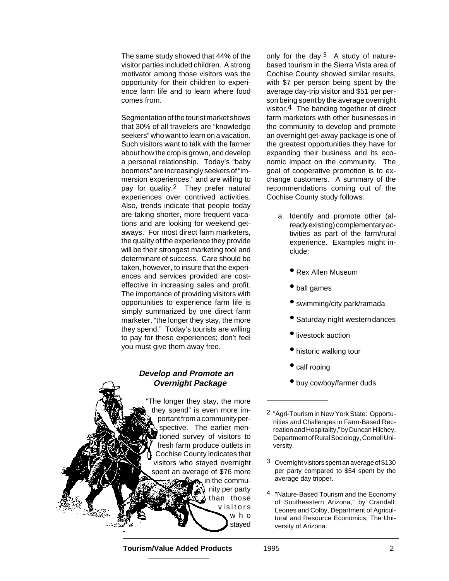The same study showed that 44% of the visitor parties included children. A strong motivator among those visitors was the opportunity for their children to experience farm life and to learn where food comes from.

Segmentation of the tourist market shows that 30% of all travelers are "knowledge seekers" who want to learn on a vacation. Such visitors want to talk with the farmer about how the crop is grown, and develop a personal relationship. Today's "baby boomers" are increasingly seekers of "immersion experiences," and are willing to pay for quality.2 They prefer natural experiences over contrived activities. Also, trends indicate that people today are taking shorter, more frequent vacations and are looking for weekend getaways. For most direct farm marketers, the quality of the experience they provide will be their strongest marketing tool and determinant of success. Care should be taken, however, to insure that the experiences and services provided are costeffective in increasing sales and profit. The importance of providing visitors with opportunities to experience farm life is simply summarized by one direct farm marketer, "the longer they stay, the more they spend." Today's tourists are willing to pay for these experiences; don't feel you must give them away free.

#### **Develop and Promote an Overnight Package**

"The longer they stay, the more they spend" is even more important from a community perspective. The earlier men**tioned survey of visitors to** fresh farm produce outlets in Cochise County indicates that visitors who stayed overnight spent an average of \$76 more in the community per party than those visitors who stayed

only for the day.<sup>3</sup> A study of naturebased tourism in the Sierra Vista area of Cochise County showed similar results, with \$7 per person being spent by the average day-trip visitor and \$51 per person being spent by the average overnight visitor.4 The banding together of direct farm marketers with other businesses in the community to develop and promote an overnight get-away package is one of the greatest opportunities they have for expanding their business and its economic impact on the community. The goal of cooperative promotion is to exchange customers. A summary of the recommendations coming out of the Cochise County study follows:

- a. Identify and promote other (already existing) complementary activities as part of the farm/rural experience. Examples might include:
	- Rex Allen Museum
	- ball games
	- swimming/city park/ramada
	- Saturday night westerndances
	- livestock auction
	- historic walking tour
	- calf roping
	- buy cowboy/farmer duds

- 3 Overnight visitors spent an average of \$130 per party compared to \$54 spent by the average day tripper.
- 4 "Nature-Based Tourism and the Economy of Southeastern Arizona," by Crandall, Leones and Colby, Department of Agricultural and Resource Economics, The University of Arizona.

**Tourism/Value Added Products** 1995 2

<sup>2</sup> "Agri-Tourism in New York State: Opportunities and Challenges in Farm-Based Recreation and Hospitality," by Duncan Hilchey, Department of Rural Sociology, Cornell University.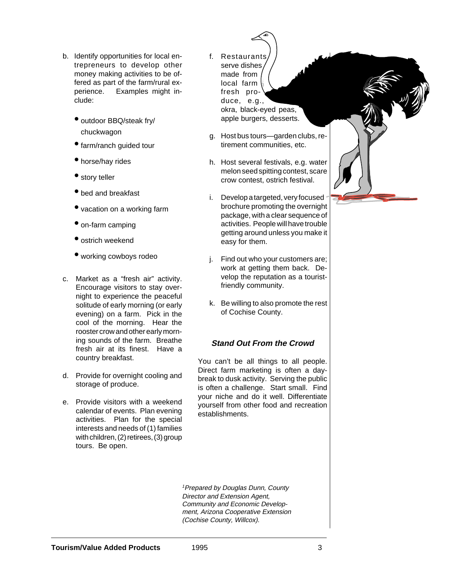- b. Identify opportunities for local entrepreneurs to develop other money making activities to be offered as part of the farm/rural experience. Examples might include:
	- outdoor BBQ/steak fry/ chuckwagon
	- farm/ranch guided tour
	- horse/hay rides
	- story teller
	- bed and breakfast
	- vacation on a working farm
	- on-farm camping
	- ostrich weekend
	- working cowboys rodeo
- c. Market as a "fresh air" activity. Encourage visitors to stay overnight to experience the peaceful solitude of early morning (or early evening) on a farm. Pick in the cool of the morning. Hear the rooster crow and other early morning sounds of the farm. Breathe fresh air at its finest. Have a country breakfast.
- d. Provide for overnight cooling and storage of produce.
- e. Provide visitors with a weekend calendar of events. Plan evening activities. Plan for the special interests and needs of (1) families with children, (2) retirees, (3) group tours. Be open.
- f. Restaurants serve dishes made from local farm fresh produce, e.g., okra, black-eyed peas, apple burgers, desserts.
- g. Host bus tours—garden clubs, retirement communities, etc.
- h. Host several festivals, e.g. water melon seed spitting contest, scare crow contest, ostrich festival.
- i. Develop a targeted, very focused brochure promoting the overnight package, with a clear sequence of activities. People will have trouble getting around unless you make it easy for them.
- j. Find out who your customers are; work at getting them back. Develop the reputation as a touristfriendly community.
- k. Be willing to also promote the rest of Cochise County.

## **Stand Out From the Crowd**

You can't be all things to all people. Direct farm marketing is often a daybreak to dusk activity. Serving the public is often a challenge. Start small. Find your niche and do it well. Differentiate yourself from other food and recreation establishments.

<sup>1</sup> Prepared by Douglas Dunn, County Director and Extension Agent, Community and Economic Development, Arizona Cooperative Extension (Cochise County, Willcox).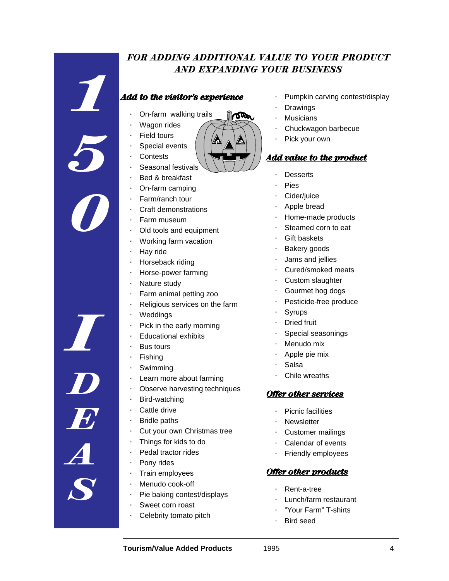## *FOR ADDING ADDITIONAL VALUE TO YOUR PRODUCT AND EXPANDING YOUR BUSINESS*

Ծজ

## *Add to the visitor's experience*

- · On-farm walking trails
- **Wagon rides**
- **Field tours**

*1*

*5*

*0*

- Special events
- **Contests**
- Seasonal festivals
- Bed & breakfast
- · On-farm camping
- Farm/ranch tour
- · Craft demonstrations
- · Farm museum
- Old tools and equipment
- · Working farm vacation
- · Hay ride
- Horseback riding
- · Horse-power farming
- Nature study
- Farm animal petting zoo
- Religious services on the farm
- **Weddings**
- Pick in the early morning
- · Educational exhibits
- · Bus tours
- **Fishing**
- **Swimming**
- Learn more about farming
- Observe harvesting techniques
- · Bird-watching
- · Cattle drive
- **Bridle paths**
- · Cut your own Christmas tree
- · Things for kids to do
- · Pedal tractor rides
- · Pony rides
- Train employees
- · Menudo cook-off
- Pie baking contest/displays
- · Sweet corn roast
- Celebrity tomato pitch
- Pumpkin carving contest/display
- **Drawings**
- **Musicians**
- · Chuckwagon barbecue
- Pick your own

## *Add value to the product*

- **Desserts**
- **Pies**
- Cider/juice
- Apple bread
- · Home-made products
- Steamed corn to eat
- **Gift baskets**
- Bakery goods
- Jams and jellies
- · Cured/smoked meats
- Custom slaughter
- Gourmet hog dogs
- Pesticide-free produce
- **Syrups**
- **Dried fruit**
- Special seasonings
- Menudo mix
- Apple pie mix
- · Salsa
- Chile wreaths

#### *Offer other services*

- Picnic facilities
- **Newsletter**
- Customer mailings
- · Calendar of events
- Friendly employees

#### *Offer other products*

- Rent-a-tree
- · Lunch/farm restaurant
- · "Your Farm" T-shirts
- Bird seed

*I D E A S*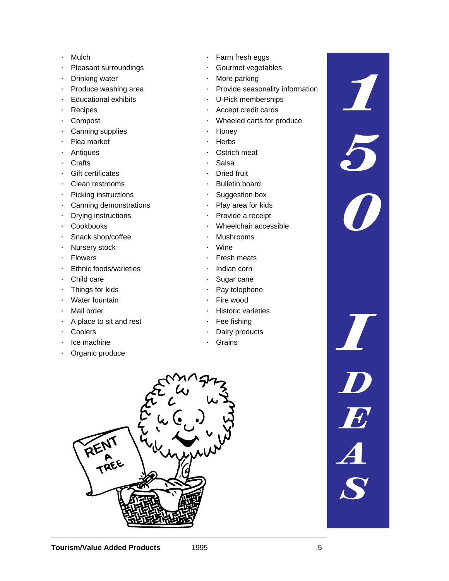- · Mulch
- · Pleasant surroundings
- · Drinking water
- · Produce washing area
- · Educational exhibits
- · Recipes
- · Compost
- · Canning supplies
- · Flea market
- · Antiques
- · Crafts
- · Gift certificates
- · Clean restrooms
- · Picking instructions
- · Canning demonstrations
- · Drying instructions
- · Cookbooks
- · Snack shop/coffee
- · Nursery stock
- · Flowers
- · Ethnic foods/varieties
- · Child care
- · Things for kids
- · Water fountain
- · Mail order
- · A place to sit and rest
- · Coolers
- · Ice machine
- · Organic produce
- · Farm fresh eggs
- Gourmet vegetables
- · More parking
- · Provide seasonality information

*1*

*5*

*0*

*I*

*D*

*E*

*A*

*S*

- · U-Pick memberships
- Accept credit cards
- · Wheeled carts for produce
- · Honey
- **Herbs**
- · Ostrich meat
- · Salsa
- · Dried fruit
- · Bulletin board
- · Suggestion box
- · Play area for kids
- · Provide a receipt
- · Wheelchair accessible
- · Mushrooms
	- · Wine
- · Fresh meats
- · Indian corn
- Sugar cane
- · Pay telephone
- · Fire wood
- **Historic varieties**
- Fee fishing
- Dairy products
- **Grains**